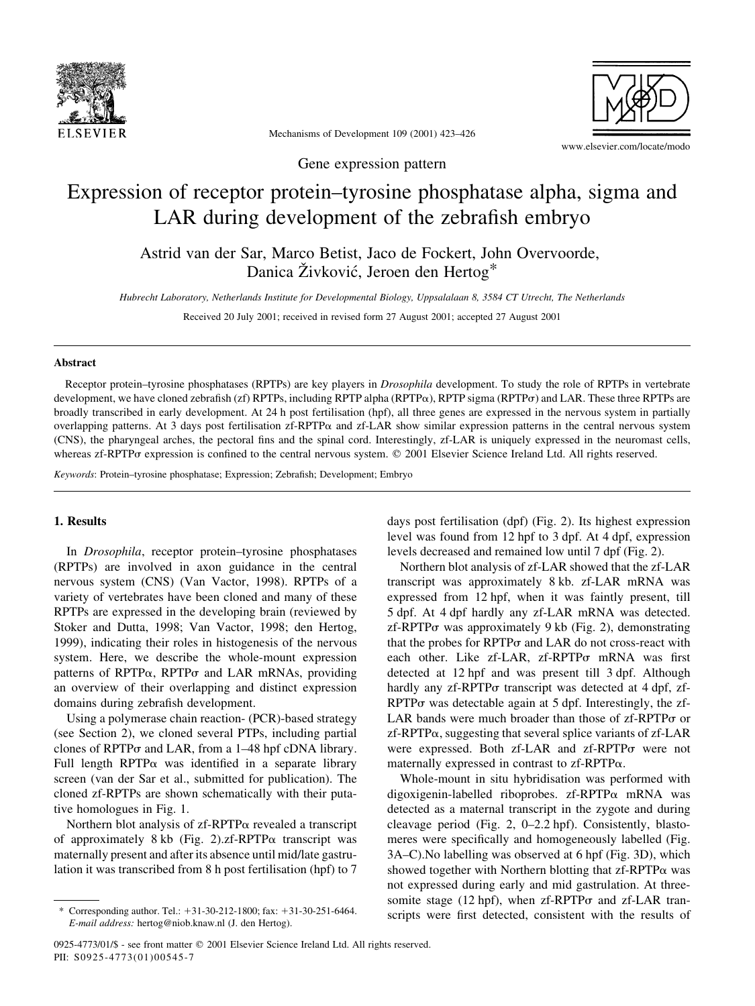

Mechanisms of Development 109 (2001) 423–426

www.elsevier.com/locate/modo

Gene expression pattern

# Expression of receptor protein–tyrosine phosphatase alpha, sigma and LAR during development of the zebrafish embryo

Astrid van der Sar, Marco Betist, Jaco de Fockert, John Overvoorde, Danica Živković, Jeroen den Hertog\*

Hubrecht Laboratory, Netherlands Institute for Developmental Biology, Uppsalalaan 8, 3584 CT Utrecht, The Netherlands

Received 20 July 2001; received in revised form 27 August 2001; accepted 27 August 2001

#### Abstract

Receptor protein–tyrosine phosphatases (RPTPs) are key players in *Drosophila* development. To study the role of RPTPs in vertebrate development, we have cloned zebrafish (zf) RPTPs, including RPTP alpha (RPTP $\alpha$ ), RPTP sigma (RPTP $\sigma$ ) and LAR. These three RPTPs are broadly transcribed in early development. At 24 h post fertilisation (hpf), all three genes are expressed in the nervous system in partially overlapping patterns. At 3 days post fertilisation  $zf-RPTP\alpha$  and  $zf-LAR$  show similar expression patterns in the central nervous system (CNS), the pharyngeal arches, the pectoral fins and the spinal cord. Interestingly, zf-LAR is uniquely expressed in the neuromast cells, whereas zf-RPTP $\sigma$  expression is confined to the central nervous system.  $\heartsuit$  2001 Elsevier Science Ireland Ltd. All rights reserved.

Keywords: Protein–tyrosine phosphatase; Expression; Zebrafish; Development; Embryo

### 1. Results

In Drosophila, receptor protein–tyrosine phosphatases (RPTPs) are involved in axon guidance in the central nervous system (CNS) (Van Vactor, 1998). RPTPs of a variety of vertebrates have been cloned and many of these RPTPs are expressed in the developing brain (reviewed by Stoker and Dutta, 1998; Van Vactor, 1998; den Hertog, 1999), indicating their roles in histogenesis of the nervous system. Here, we describe the whole-mount expression patterns of RPTP $\alpha$ , RPTP $\sigma$  and LAR mRNAs, providing an overview of their overlapping and distinct expression domains during zebrafish development.

Using a polymerase chain reaction- (PCR)-based strategy (see Section 2), we cloned several PTPs, including partial clones of RPTP $\sigma$  and LAR, from a 1–48 hpf cDNA library. Full length RPTP $\alpha$  was identified in a separate library screen (van der Sar et al., submitted for publication). The cloned zf-RPTPs are shown schematically with their putative homologues in Fig. 1.

Northern blot analysis of  $zf-RPTP\alpha$  revealed a transcript of approximately 8 kb (Fig. 2).zf-RPTP $\alpha$  transcript was maternally present and after its absence until mid/late gastrulation it was transcribed from 8 h post fertilisation (hpf) to 7

days post fertilisation (dpf) (Fig. 2). Its highest expression level was found from 12 hpf to 3 dpf. At 4 dpf, expression levels decreased and remained low until 7 dpf (Fig. 2).

Northern blot analysis of zf-LAR showed that the zf-LAR transcript was approximately 8 kb. zf-LAR mRNA was expressed from 12 hpf, when it was faintly present, till 5 dpf. At 4 dpf hardly any zf-LAR mRNA was detected.  $z$ f-RPTP $\sigma$  was approximately 9 kb (Fig. 2), demonstrating that the probes for  $RPTP\sigma$  and LAR do not cross-react with each other. Like zf-LAR, zf-RPTPo mRNA was first detected at 12 hpf and was present till 3 dpf. Although hardly any  $zf-RPTP\sigma$  transcript was detected at 4 dpf,  $zf$ - $RPTP\sigma$  was detectable again at 5 dpf. Interestingly, the zf-LAR bands were much broader than those of  $z$ f-RPTP $\sigma$  or  $z$ f-RPTP $\alpha$ , suggesting that several splice variants of  $z$ f-LAR were expressed. Both zf-LAR and zf-RPTPo were not maternally expressed in contrast to zf-RPTPa.

Whole-mount in situ hybridisation was performed with digoxigenin-labelled riboprobes. zf-RPTPa mRNA was detected as a maternal transcript in the zygote and during cleavage period (Fig. 2, 0–2.2 hpf). Consistently, blastomeres were specifically and homogeneously labelled (Fig. 3A–C).No labelling was observed at 6 hpf (Fig. 3D), which showed together with Northern blotting that  $zf-RPTP\alpha$  was not expressed during early and mid gastrulation. At threesomite stage (12 hpf), when  $zf-RPTP\sigma$  and  $zf-LAR$  transcripts were first detected, consistent with the results of

Corresponding author. Tel.:  $+31-30-212-1800$ ; fax:  $+31-30-251-6464$ . E-mail address: hertog@niob.knaw.nl (J. den Hertog).

<sup>0925-4773/01/\$ -</sup> see front matter © 2001 Elsevier Science Ireland Ltd. All rights reserved. PII: S0925-4773(01)00545-7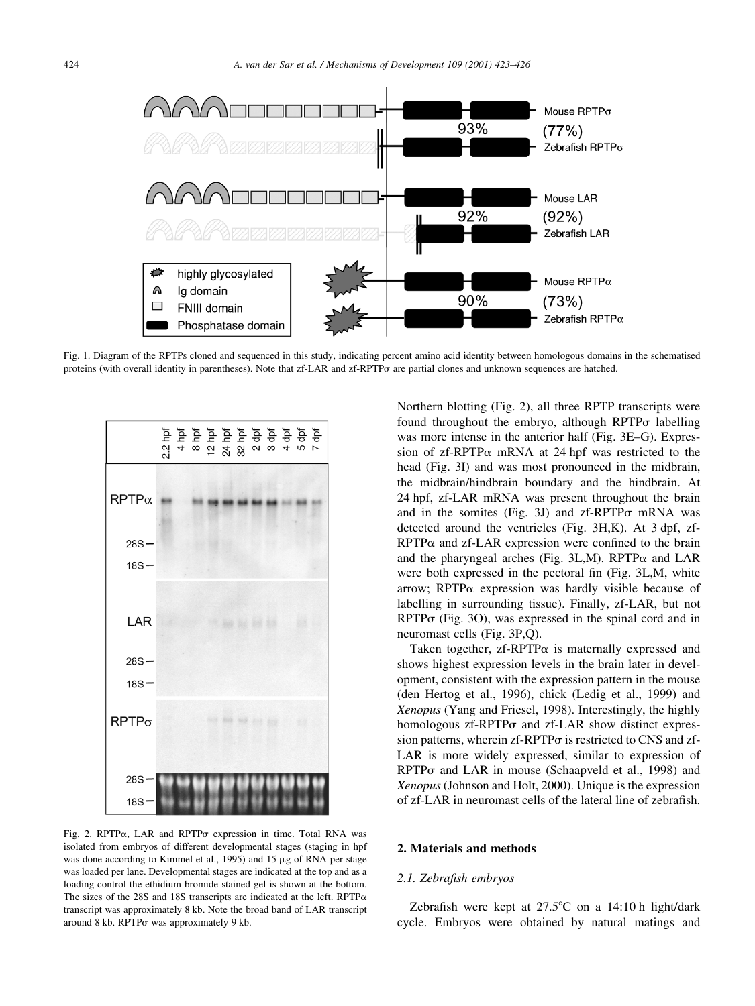

Fig. 1. Diagram of the RPTPs cloned and sequenced in this study, indicating percent amino acid identity between homologous domains in the schematised proteins (with overall identity in parentheses). Note that zf-LAR and zf-RPTPs are partial clones and unknown sequences are hatched.



Fig. 2. RPTP $\alpha$ , LAR and RPTP $\sigma$  expression in time. Total RNA was isolated from embryos of different developmental stages (staging in hpf was done according to Kimmel et al., 1995) and 15  $\mu$ g of RNA per stage was loaded per lane. Developmental stages are indicated at the top and as a loading control the ethidium bromide stained gel is shown at the bottom. The sizes of the 28S and 18S transcripts are indicated at the left. RPTP $\alpha$ transcript was approximately 8 kb. Note the broad band of LAR transcript around 8 kb. RPTP $\sigma$  was approximately 9 kb.

Northern blotting (Fig. 2), all three RPTP transcripts were found throughout the embryo, although  $RPTP\sigma$  labelling was more intense in the anterior half (Fig. 3E–G). Expression of  $z$ f-RPTP $\alpha$  mRNA at 24 hpf was restricted to the head (Fig. 3I) and was most pronounced in the midbrain, the midbrain/hindbrain boundary and the hindbrain. At 24 hpf, zf-LAR mRNA was present throughout the brain and in the somites (Fig. 3J) and  $zf-RPTP\sigma$  mRNA was detected around the ventricles (Fig. 3H,K). At 3 dpf, zf- $RPTP\alpha$  and  $zf-LAR$  expression were confined to the brain and the pharyngeal arches (Fig. 3L,M). RPTP $\alpha$  and LAR were both expressed in the pectoral fin (Fig. 3L,M, white arrow; RPTP $\alpha$  expression was hardly visible because of labelling in surrounding tissue). Finally, zf-LAR, but not  $RPTP\sigma$  (Fig. 3O), was expressed in the spinal cord and in neuromast cells (Fig. 3P,Q).

Taken together,  $zf-RPTP\alpha$  is maternally expressed and shows highest expression levels in the brain later in development, consistent with the expression pattern in the mouse (den Hertog et al., 1996), chick (Ledig et al., 1999) and Xenopus (Yang and Friesel, 1998). Interestingly, the highly homologous  $zf-RPTP\sigma$  and  $zf-LAR$  show distinct expression patterns, wherein  $zf$ -RPTP $\sigma$  is restricted to CNS and  $zf$ -LAR is more widely expressed, similar to expression of  $RPTP\sigma$  and LAR in mouse (Schaapveld et al., 1998) and Xenopus (Johnson and Holt, 2000). Unique is the expression of zf-LAR in neuromast cells of the lateral line of zebrafish.

#### 2. Materials and methods

#### 2.1. Zebrafish embryos

Zebrafish were kept at  $27.5^{\circ}$ C on a 14:10 h light/dark cycle. Embryos were obtained by natural matings and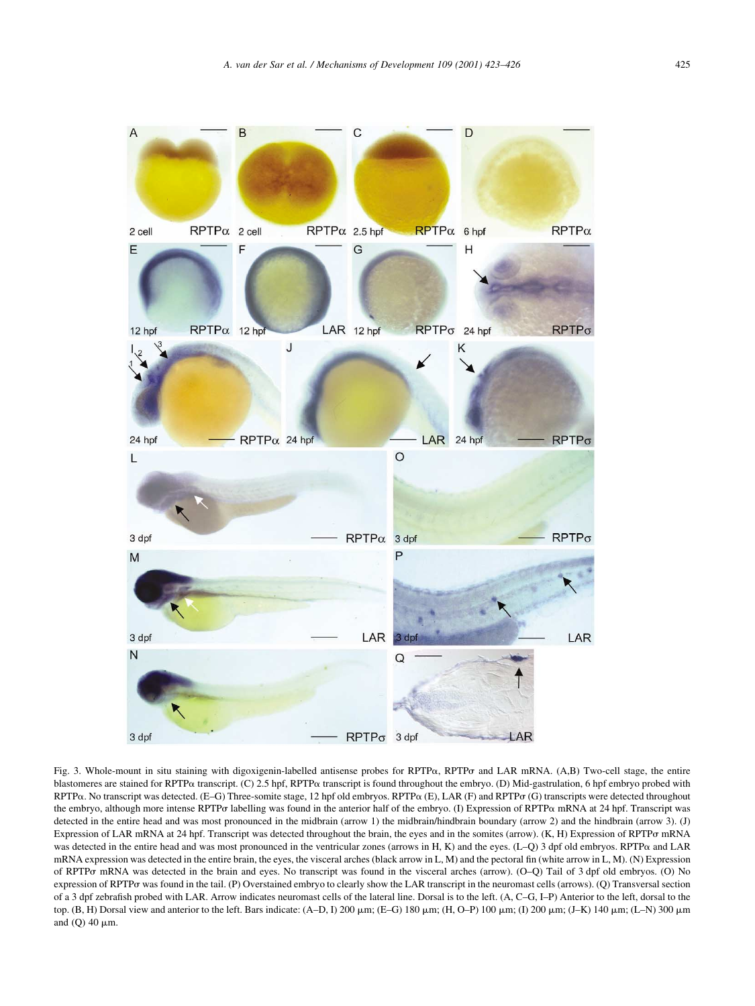

Fig. 3. Whole-mount in situ staining with digoxigenin-labelled antisense probes for RPTP $\alpha$ , RPTP $\sigma$  and LAR mRNA. (A,B) Two-cell stage, the entire blastomeres are stained for RPTPa transcript. (C) 2.5 hpf, RPTPa transcript is found throughout the embryo. (D) Mid-gastrulation, 6 hpf embryo probed with RPTP $\alpha$ . No transcript was detected. (E–G) Three-somite stage, 12 hpf old embryos. RPTP $\alpha$  (E), LAR (F) and RPTP $\sigma$  (G) transcripts were detected throughout the embryo, although more intense RPTP $\sigma$  labelling was found in the anterior half of the embryo. (I) Expression of RPTP $\alpha$  mRNA at 24 hpf. Transcript was detected in the entire head and was most pronounced in the midbrain (arrow 1) the midbrain/hindbrain boundary (arrow 2) and the hindbrain (arrow 3). (J) Expression of LAR mRNA at 24 hpf. Transcript was detected throughout the brain, the eyes and in the somites (arrow). (K, H) Expression of RPTPs mRNA was detected in the entire head and was most pronounced in the ventricular zones (arrows in H, K) and the eyes. (L–Q) 3 dpf old embryos. RPTP $\alpha$  and LAR mRNA expression was detected in the entire brain, the eyes, the visceral arches (black arrow in L, M) and the pectoral fin (white arrow in L, M). (N) Expression of RPTPs mRNA was detected in the brain and eyes. No transcript was found in the visceral arches (arrow). (O–Q) Tail of 3 dpf old embryos. (O) No expression of RPTPo was found in the tail. (P) Overstained embryo to clearly show the LAR transcript in the neuromast cells (arrows). (Q) Transversal section of a 3 dpf zebrafish probed with LAR. Arrow indicates neuromast cells of the lateral line. Dorsal is to the left. (A, C–G, I–P) Anterior to the left, dorsal to the top. (B, H) Dorsal view and anterior to the left. Bars indicate: (A–D, I) 200  $\mu$ m; (E–G) 180  $\mu$ m; (H, O–P) 100  $\mu$ m; (I) 200  $\mu$ m; (J–K) 140  $\mu$ m; (L–N) 300  $\mu$ m and (Q) 40  $\mu$ m.